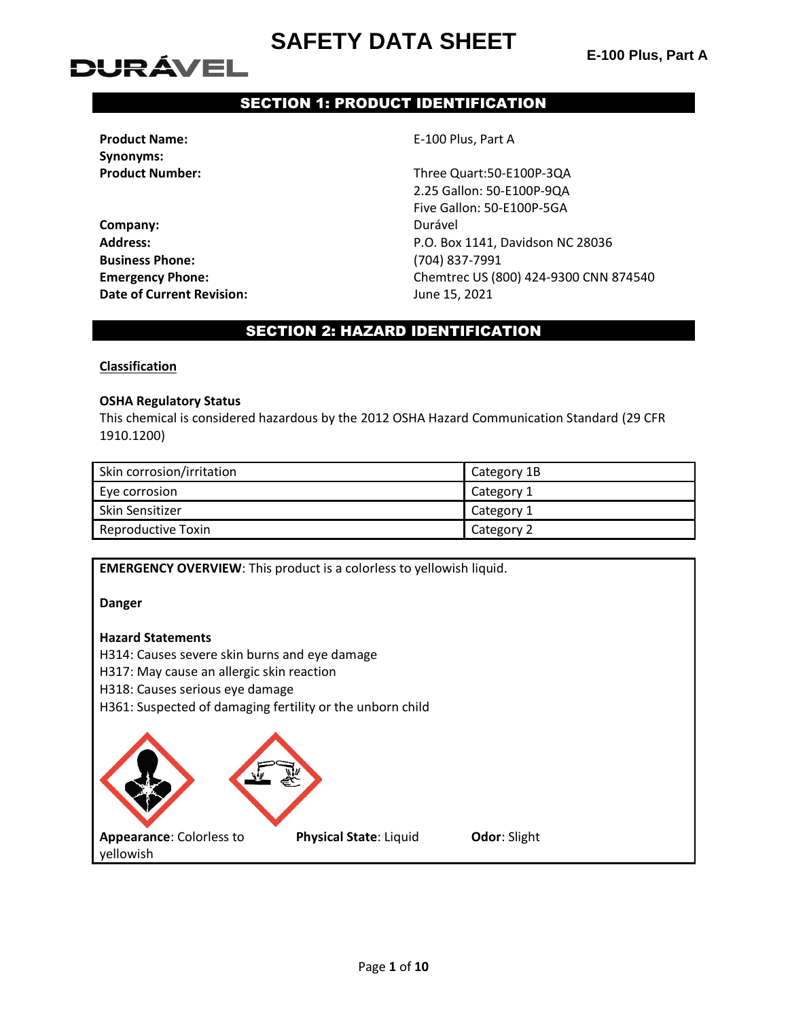# **DURÁVEL**

### SECTION 1: PRODUCT IDENTIFICATION

**Product Name:** E-100 Plus, Part A **Synonyms:**

**Company:** Durável **Business Phone:** (704) 837-7991 **Date of Current Revision:** June 15, 2021

**Product Number:** Three Quart:50-E100P-3QA 2.25 Gallon: 50-E100P-9QA Five Gallon: 50-E100P-5GA **Address:** P.O. Box 1141, Davidson NC 28036 **Emergency Phone:** Chemtrec US (800) 424-9300 CNN 874540

#### SECTION 2: HAZARD IDENTIFICATION

#### **Classification**

#### **OSHA Regulatory Status**

This chemical is considered hazardous by the 2012 OSHA Hazard Communication Standard (29 CFR 1910.1200)

| Skin corrosion/irritation | Category 1B |
|---------------------------|-------------|
| Eye corrosion             | Category 1  |
| Skin Sensitizer           | Category 1  |
| <b>Reproductive Toxin</b> | Category 2  |

| <b>EMERGENCY OVERVIEW:</b> This product is a colorless to yellowish liquid.                   |
|-----------------------------------------------------------------------------------------------|
| <b>Danger</b>                                                                                 |
| <b>Hazard Statements</b>                                                                      |
| H314: Causes severe skin burns and eye damage                                                 |
| H317: May cause an allergic skin reaction                                                     |
| H318: Causes serious eye damage                                                               |
| H361: Suspected of damaging fertility or the unborn child                                     |
|                                                                                               |
| Appearance: Colorless to<br><b>Physical State: Liquid</b><br><b>Odor: Slight</b><br>yellowish |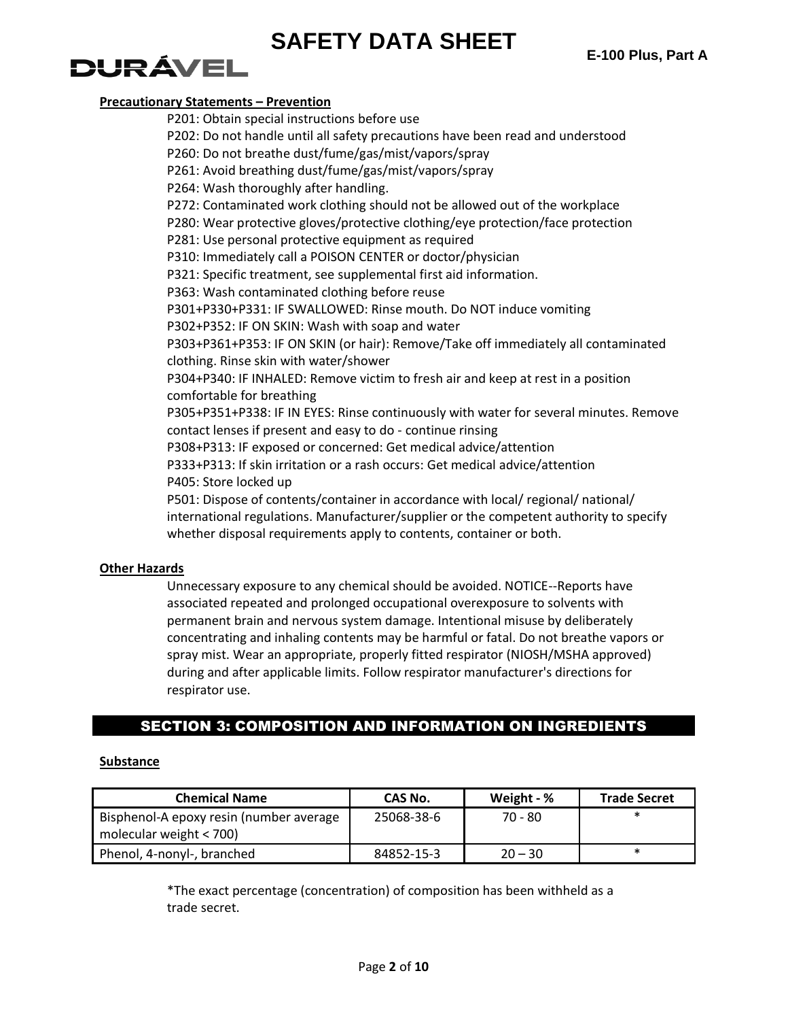# DI JRÁVEL

#### **Precautionary Statements – Prevention**

P201: Obtain special instructions before use P202: Do not handle until all safety precautions have been read and understood P260: Do not breathe dust/fume/gas/mist/vapors/spray P261: Avoid breathing dust/fume/gas/mist/vapors/spray P264: Wash thoroughly after handling. P272: Contaminated work clothing should not be allowed out of the workplace P280: Wear protective gloves/protective clothing/eye protection/face protection P281: Use personal protective equipment as required P310: Immediately call a POISON CENTER or doctor/physician P321: Specific treatment, see supplemental first aid information. P363: Wash contaminated clothing before reuse P301+P330+P331: IF SWALLOWED: Rinse mouth. Do NOT induce vomiting P302+P352: IF ON SKIN: Wash with soap and water P303+P361+P353: IF ON SKIN (or hair): Remove/Take off immediately all contaminated clothing. Rinse skin with water/shower P304+P340: IF INHALED: Remove victim to fresh air and keep at rest in a position comfortable for breathing P305+P351+P338: IF IN EYES: Rinse continuously with water for several minutes. Remove contact lenses if present and easy to do - continue rinsing P308+P313: IF exposed or concerned: Get medical advice/attention P333+P313: If skin irritation or a rash occurs: Get medical advice/attention P405: Store locked up P501: Dispose of contents/container in accordance with local/ regional/ national/ international regulations. Manufacturer/supplier or the competent authority to specify whether disposal requirements apply to contents, container or both.

#### **Other Hazards**

Unnecessary exposure to any chemical should be avoided. NOTICE--Reports have associated repeated and prolonged occupational overexposure to solvents with permanent brain and nervous system damage. Intentional misuse by deliberately concentrating and inhaling contents may be harmful or fatal. Do not breathe vapors or spray mist. Wear an appropriate, properly fitted respirator (NIOSH/MSHA approved) during and after applicable limits. Follow respirator manufacturer's directions for respirator use.

#### SECTION 3: COMPOSITION AND INFORMATION ON INGREDIENTS

#### **Substance**

| <b>Chemical Name</b>                                                 | CAS No.    | Weight - % | <b>Trade Secret</b> |
|----------------------------------------------------------------------|------------|------------|---------------------|
| Bisphenol-A epoxy resin (number average<br>molecular weight $<$ 700) | 25068-38-6 | 70 - 80    | *                   |
|                                                                      |            |            |                     |
| Phenol, 4-nonyl-, branched                                           | 84852-15-3 | $20 - 30$  | $\ast$              |

\*The exact percentage (concentration) of composition has been withheld as a trade secret.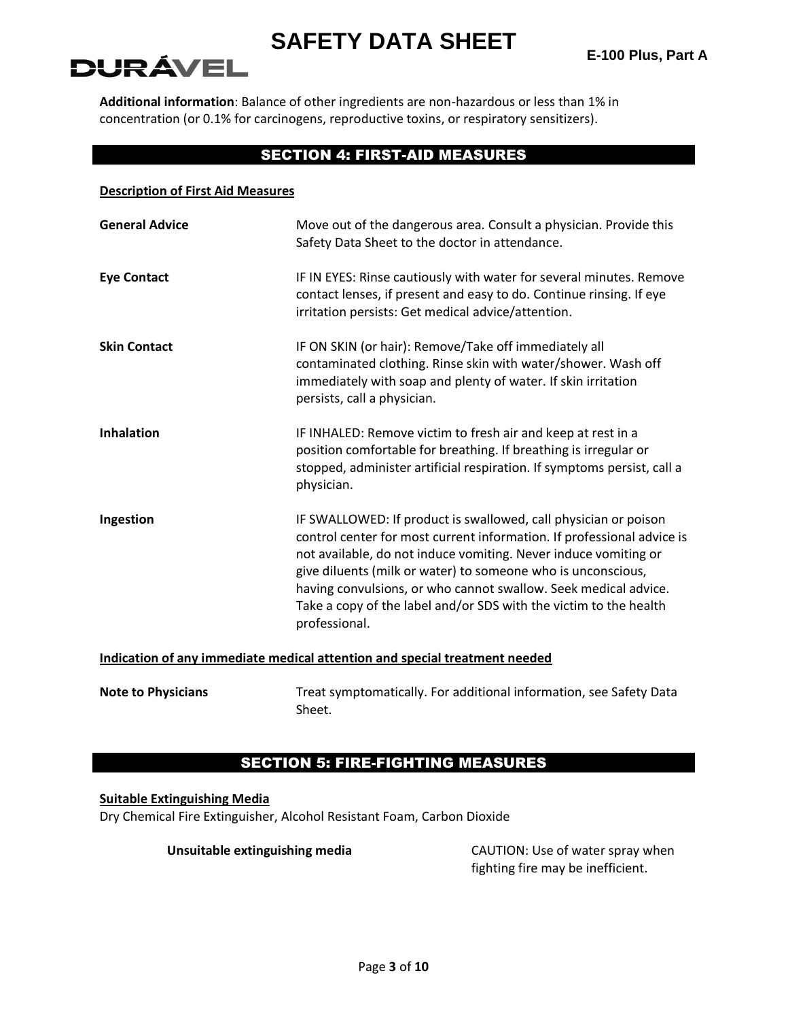# DURÁVEI

**Additional information**: Balance of other ingredients are non-hazardous or less than 1% in concentration (or 0.1% for carcinogens, reproductive toxins, or respiratory sensitizers).

#### SECTION 4: FIRST-AID MEASURES

| <b>Description of First Aid Measures</b>                                   |                                                                                                                                                                                                                                                                                                                                                                                                                                       |  |
|----------------------------------------------------------------------------|---------------------------------------------------------------------------------------------------------------------------------------------------------------------------------------------------------------------------------------------------------------------------------------------------------------------------------------------------------------------------------------------------------------------------------------|--|
| <b>General Advice</b>                                                      | Move out of the dangerous area. Consult a physician. Provide this<br>Safety Data Sheet to the doctor in attendance.                                                                                                                                                                                                                                                                                                                   |  |
| <b>Eye Contact</b>                                                         | IF IN EYES: Rinse cautiously with water for several minutes. Remove<br>contact lenses, if present and easy to do. Continue rinsing. If eye<br>irritation persists: Get medical advice/attention.                                                                                                                                                                                                                                      |  |
| <b>Skin Contact</b>                                                        | IF ON SKIN (or hair): Remove/Take off immediately all<br>contaminated clothing. Rinse skin with water/shower. Wash off<br>immediately with soap and plenty of water. If skin irritation<br>persists, call a physician.                                                                                                                                                                                                                |  |
| <b>Inhalation</b>                                                          | IF INHALED: Remove victim to fresh air and keep at rest in a<br>position comfortable for breathing. If breathing is irregular or<br>stopped, administer artificial respiration. If symptoms persist, call a<br>physician.                                                                                                                                                                                                             |  |
| Ingestion                                                                  | IF SWALLOWED: If product is swallowed, call physician or poison<br>control center for most current information. If professional advice is<br>not available, do not induce vomiting. Never induce vomiting or<br>give diluents (milk or water) to someone who is unconscious,<br>having convulsions, or who cannot swallow. Seek medical advice.<br>Take a copy of the label and/or SDS with the victim to the health<br>professional. |  |
| Indication of any immediate medical attention and special treatment needed |                                                                                                                                                                                                                                                                                                                                                                                                                                       |  |
| <b>Note to Physicians</b>                                                  | Treat symptomatically. For additional information, see Safety Data                                                                                                                                                                                                                                                                                                                                                                    |  |

#### SECTION 5: FIRE-FIGHTING MEASURES

#### **Suitable Extinguishing Media**

Dry Chemical Fire Extinguisher, Alcohol Resistant Foam, Carbon Dioxide

Sheet.

**Unsuitable extinguishing media** CAUTION: Use of water spray when fighting fire may be inefficient.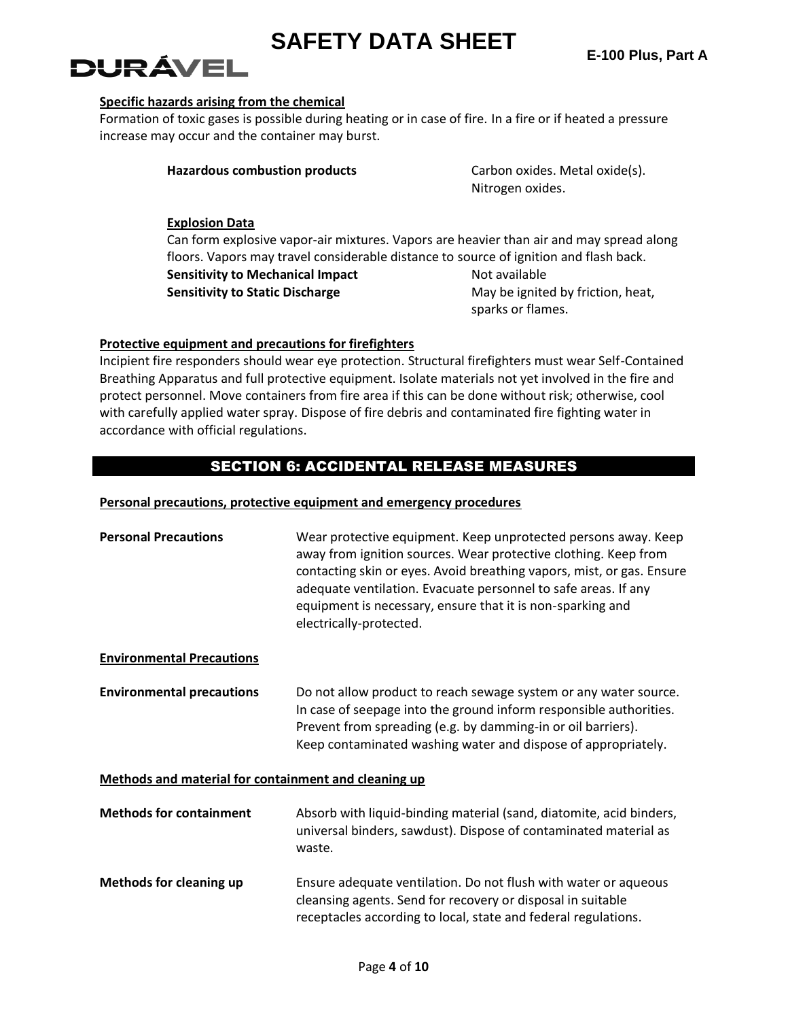# **DURÁVEL**

#### **Specific hazards arising from the chemical**

Formation of toxic gases is possible during heating or in case of fire. In a fire or if heated a pressure increase may occur and the container may burst.

| <b>Hazardous combustion products</b> | Carbon oxides. Metal oxide(s). |  |
|--------------------------------------|--------------------------------|--|
|                                      | Nitrogen oxides.               |  |

#### **Explosion Data**

Can form explosive vapor-air mixtures. Vapors are heavier than air and may spread along floors. Vapors may travel considerable distance to source of ignition and flash back. **Sensitivity to Mechanical Impact Mechanical Impact Not available** 

**Sensitivity to Static Discharge** May be ignited by friction, heat, sparks or flames.

#### **Protective equipment and precautions for firefighters**

Incipient fire responders should wear eye protection. Structural firefighters must wear Self-Contained Breathing Apparatus and full protective equipment. Isolate materials not yet involved in the fire and protect personnel. Move containers from fire area if this can be done without risk; otherwise, cool with carefully applied water spray. Dispose of fire debris and contaminated fire fighting water in accordance with official regulations.

### SECTION 6: ACCIDENTAL RELEASE MEASURES

#### **Personal precautions, protective equipment and emergency procedures**

| <b>Personal Precautions</b>                          | Wear protective equipment. Keep unprotected persons away. Keep<br>away from ignition sources. Wear protective clothing. Keep from<br>contacting skin or eyes. Avoid breathing vapors, mist, or gas. Ensure<br>adequate ventilation. Evacuate personnel to safe areas. If any<br>equipment is necessary, ensure that it is non-sparking and<br>electrically-protected. |
|------------------------------------------------------|-----------------------------------------------------------------------------------------------------------------------------------------------------------------------------------------------------------------------------------------------------------------------------------------------------------------------------------------------------------------------|
| <b>Environmental Precautions</b>                     |                                                                                                                                                                                                                                                                                                                                                                       |
| <b>Environmental precautions</b>                     | Do not allow product to reach sewage system or any water source.<br>In case of seepage into the ground inform responsible authorities.<br>Prevent from spreading (e.g. by damming-in or oil barriers).<br>Keep contaminated washing water and dispose of appropriately.                                                                                               |
| Methods and material for containment and cleaning up |                                                                                                                                                                                                                                                                                                                                                                       |
| <b>Methods for containment</b>                       | Absorb with liquid-binding material (sand, diatomite, acid binders,<br>universal binders, sawdust). Dispose of contaminated material as<br>waste.                                                                                                                                                                                                                     |
| <b>Methods for cleaning up</b>                       | Ensure adequate ventilation. Do not flush with water or aqueous<br>cleansing agents. Send for recovery or disposal in suitable<br>receptacles according to local, state and federal regulations.                                                                                                                                                                      |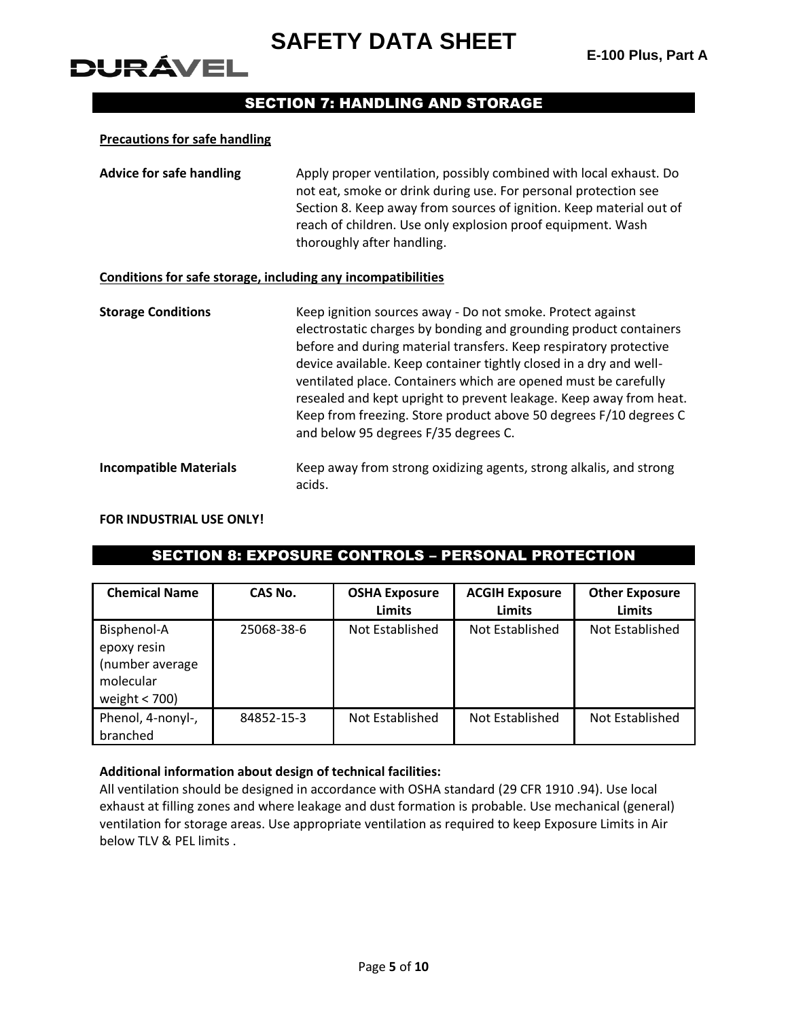# DURÁVEL

#### SECTION 7: HANDLING AND STORAGE

#### **Precautions for safe handling**

**Advice for safe handling** Apply proper ventilation, possibly combined with local exhaust. Do not eat, smoke or drink during use. For personal protection see Section 8. Keep away from sources of ignition. Keep material out of reach of children. Use only explosion proof equipment. Wash thoroughly after handling.

#### **Conditions for safe storage, including any incompatibilities**

**Storage Conditions** Keep ignition sources away - Do not smoke. Protect against electrostatic charges by bonding and grounding product containers before and during material transfers. Keep respiratory protective device available. Keep container tightly closed in a dry and wellventilated place. Containers which are opened must be carefully resealed and kept upright to prevent leakage. Keep away from heat. Keep from freezing. Store product above 50 degrees F/10 degrees C and below 95 degrees F/35 degrees C. **Incompatible Materials** Keep away from strong oxidizing agents, strong alkalis, and strong acids.

#### **FOR INDUSTRIAL USE ONLY!**

#### SECTION 8: EXPOSURE CONTROLS – PERSONAL PROTECTION

| <b>Chemical Name</b>                                                          | CAS No.    | <b>OSHA Exposure</b><br><b>Limits</b> | <b>ACGIH Exposure</b><br><b>Limits</b> | <b>Other Exposure</b><br><b>Limits</b> |
|-------------------------------------------------------------------------------|------------|---------------------------------------|----------------------------------------|----------------------------------------|
| Bisphenol-A<br>epoxy resin<br>(number average<br>molecular<br>weight $<$ 700) | 25068-38-6 | Not Established                       | Not Established                        | Not Established                        |
| Phenol, 4-nonyl-,<br>branched                                                 | 84852-15-3 | Not Established                       | Not Established                        | Not Established                        |

#### **Additional information about design of technical facilities:**

All ventilation should be designed in accordance with OSHA standard (29 CFR 1910 .94). Use local exhaust at filling zones and where leakage and dust formation is probable. Use mechanical (general) ventilation for storage areas. Use appropriate ventilation as required to keep Exposure Limits in Air below TLV & PEL limits .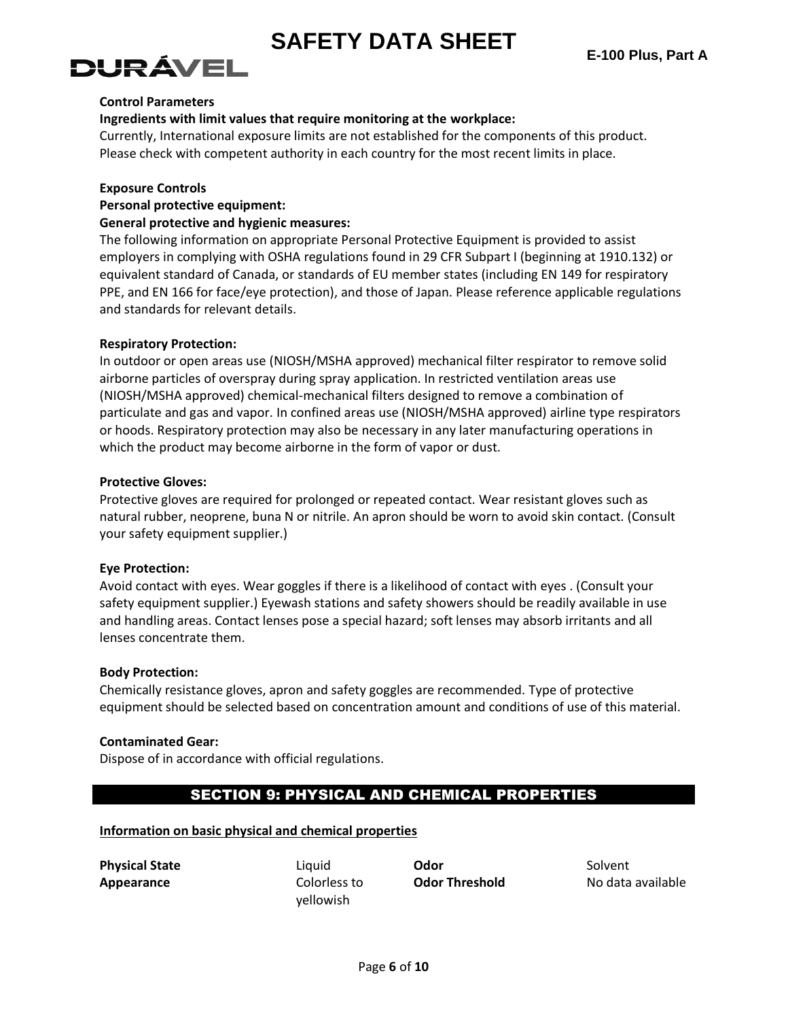# )! IRÁVEI

#### **Control Parameters**

#### **Ingredients with limit values that require monitoring at the workplace:**

Currently, International exposure limits are not established for the components of this product. Please check with competent authority in each country for the most recent limits in place.

#### **Exposure Controls**

#### **Personal protective equipment:**

#### **General protective and hygienic measures:**

The following information on appropriate Personal Protective Equipment is provided to assist employers in complying with OSHA regulations found in 29 CFR Subpart I (beginning at 1910.132) or equivalent standard of Canada, or standards of EU member states (including EN 149 for respiratory PPE, and EN 166 for face/eye protection), and those of Japan. Please reference applicable regulations and standards for relevant details.

#### **Respiratory Protection:**

In outdoor or open areas use (NIOSH/MSHA approved) mechanical filter respirator to remove solid airborne particles of overspray during spray application. In restricted ventilation areas use (NIOSH/MSHA approved) chemical-mechanical filters designed to remove a combination of particulate and gas and vapor. In confined areas use (NIOSH/MSHA approved) airline type respirators or hoods. Respiratory protection may also be necessary in any later manufacturing operations in which the product may become airborne in the form of vapor or dust.

#### **Protective Gloves:**

Protective gloves are required for prolonged or repeated contact. Wear resistant gloves such as natural rubber, neoprene, buna N or nitrile. An apron should be worn to avoid skin contact. (Consult your safety equipment supplier.)

#### **Eye Protection:**

Avoid contact with eyes. Wear goggles if there is a likelihood of contact with eyes . (Consult your safety equipment supplier.) Eyewash stations and safety showers should be readily available in use and handling areas. Contact lenses pose a special hazard; soft lenses may absorb irritants and all lenses concentrate them.

#### **Body Protection:**

Chemically resistance gloves, apron and safety goggles are recommended. Type of protective equipment should be selected based on concentration amount and conditions of use of this material.

#### **Contaminated Gear:**

Dispose of in accordance with official regulations.

#### SECTION 9: PHYSICAL AND CHEMICAL PROPERTIES

#### **Information on basic physical and chemical properties**

**Physical State** Liquid **Odor** Solvent **Appearance** Colorless to

yellowish

**Odor Threshold** No data available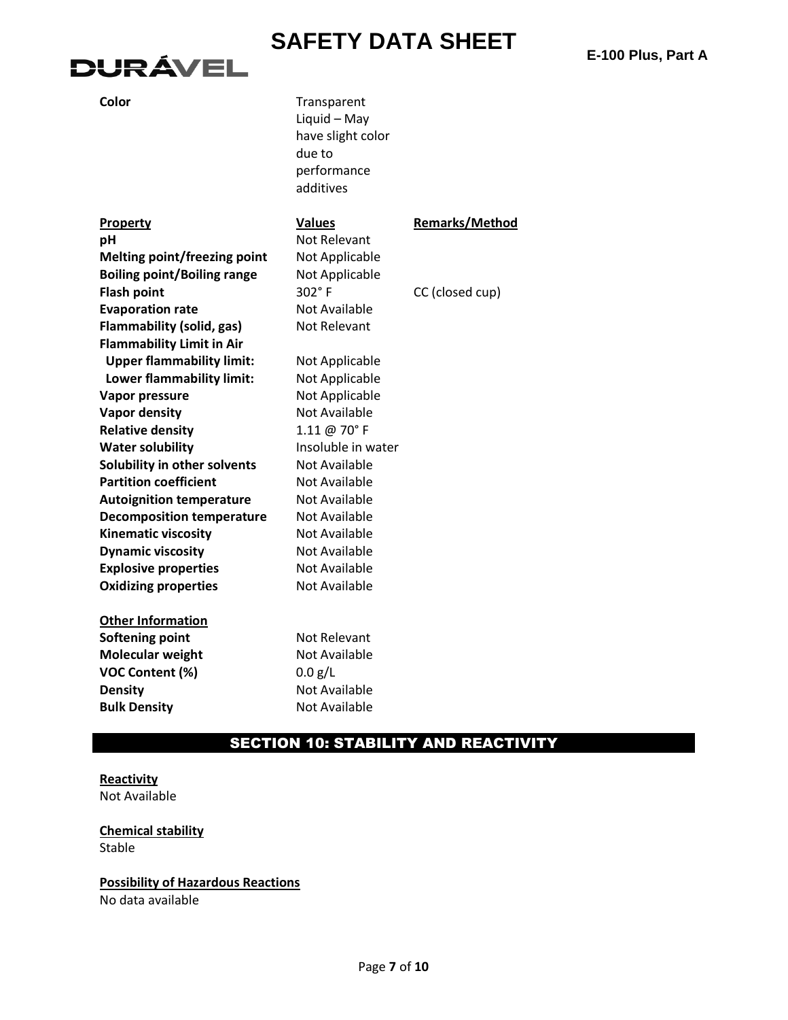# **DURÁVEL**

| ×<br>×<br>I<br>v<br>×<br>۰.<br>v | I<br>I<br>v |
|----------------------------------|-------------|
|----------------------------------|-------------|

| Color | Transparent       |
|-------|-------------------|
|       | Liquid - May      |
|       | have slight color |
|       | due to            |
|       | performance       |
|       | additives         |

#### **Property Values Remarks/Method pH** Not Relevant **Melting point/freezing point** Not Applicable **Boiling point/Boiling range** Not Applicable **Flash point** 302° F CC (closed cup) **Evaporation rate** Not Available **Flammability (solid, gas)** Not Relevant **Flammability Limit in Air Upper flammability limit:** Not Applicable **Lower flammability limit:** Not Applicable **Vapor pressure** Not Applicable **Vapor density** Not Available **Relative density** 1.11 @ 70° F **Water solubility Insoluble in water Solubility in other solvents** Not Available **Partition coefficient** Not Available **Autoignition temperature** Not Available **Decomposition temperature** Not Available **Kinematic viscosity** Not Available **Dynamic viscosity Not Available Explosive properties** Not Available **Oxidizing properties** Not Available **Other Information Softening point** Not Relevant **Molecular weight** Not Available **VOC Content (%)** 0.0 g/L

**Density** Not Available **Bulk Density** Not Available

#### SECTION 10: STABILITY AND REACTIVITY

#### **Reactivity** Not Available

**Chemical stability** Stable

#### **Possibility of Hazardous Reactions**

No data available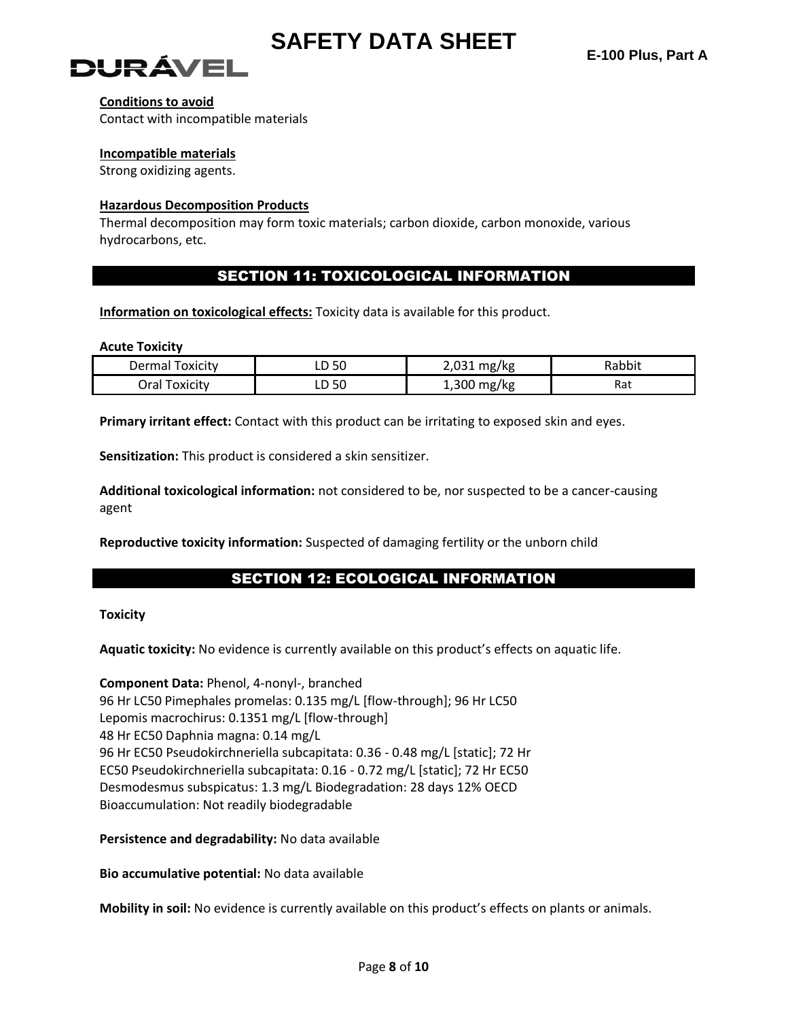



#### **Conditions to avoid**

Contact with incompatible materials

#### **Incompatible materials**

Strong oxidizing agents.

#### **Hazardous Decomposition Products**

Thermal decomposition may form toxic materials; carbon dioxide, carbon monoxide, various hydrocarbons, etc.

#### SECTION 11: TOXICOLOGICAL INFORMATION

**Information on toxicological effects:** Toxicity data is available for this product.

#### **Acute Toxicity**

| Dermal<br><u>oxicity</u> | F C<br>- JU<br>-- | ว กวา<br>mg/kg | Rabbit |
|--------------------------|-------------------|----------------|--------|
| Dral                     | .JU               | .,300          | Rat    |
| oxicity                  | -                 | mg/kg          |        |

**Primary irritant effect:** Contact with this product can be irritating to exposed skin and eyes.

**Sensitization:** This product is considered a skin sensitizer.

**Additional toxicological information:** not considered to be, nor suspected to be a cancer-causing agent

**Reproductive toxicity information:** Suspected of damaging fertility or the unborn child

#### SECTION 12: ECOLOGICAL INFORMATION

#### **Toxicity**

**Aquatic toxicity:** No evidence is currently available on this product's effects on aquatic life.

**Component Data:** Phenol, 4-nonyl-, branched 96 Hr LC50 Pimephales promelas: 0.135 mg/L [flow-through]; 96 Hr LC50 Lepomis macrochirus: 0.1351 mg/L [flow-through] 48 Hr EC50 Daphnia magna: 0.14 mg/L 96 Hr EC50 Pseudokirchneriella subcapitata: 0.36 - 0.48 mg/L [static]; 72 Hr EC50 Pseudokirchneriella subcapitata: 0.16 - 0.72 mg/L [static]; 72 Hr EC50 Desmodesmus subspicatus: 1.3 mg/L Biodegradation: 28 days 12% OECD Bioaccumulation: Not readily biodegradable

**Persistence and degradability:** No data available

**Bio accumulative potential:** No data available

**Mobility in soil:** No evidence is currently available on this product's effects on plants or animals.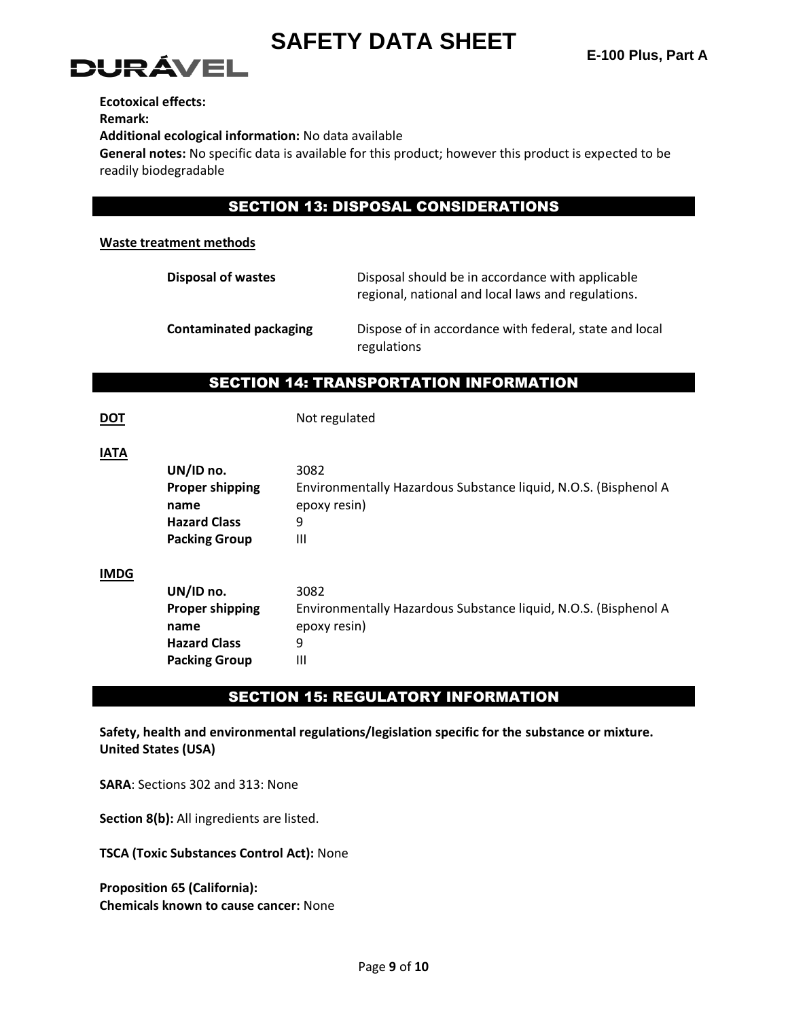



**Ecotoxical effects:**

**Remark:**

**Additional ecological information:** No data available

**General notes:** No specific data is available for this product; however this product is expected to be readily biodegradable

#### SECTION 13: DISPOSAL CONSIDERATIONS

#### **Waste treatment methods**

| <b>Disposal of wastes</b>     | Disposal should be in accordance with applicable<br>regional, national and local laws and regulations. |
|-------------------------------|--------------------------------------------------------------------------------------------------------|
| <b>Contaminated packaging</b> | Dispose of in accordance with federal, state and local<br>regulations                                  |

#### SECTION 14: TRANSPORTATION INFORMATION

**DOT** Not regulated

| UN/ID no.                      | 3082                                                                            |
|--------------------------------|---------------------------------------------------------------------------------|
| <b>Proper shipping</b><br>name | Environmentally Hazardous Substance liquid, N.O.S. (Bisphenol A<br>epoxy resin) |
| <b>Hazard Class</b>            | 9                                                                               |
| <b>Packing Group</b>           | Ш                                                                               |
|                                |                                                                                 |
| UN/ID no.                      | 3082                                                                            |
| <b>Proper shipping</b>         | Environmentally Hazardous Substance liquid, N.O.S. (Bisphenol A                 |
| name                           | epoxy resin)                                                                    |
| <b>Hazard Class</b>            | 9                                                                               |
| <b>Packing Group</b>           | Ш                                                                               |
|                                |                                                                                 |

#### SECTION 15: REGULATORY INFORMATION

**Safety, health and environmental regulations/legislation specific for the substance or mixture. United States (USA)**

**SARA**: Sections 302 and 313: None

**Section 8(b):** All ingredients are listed.

**TSCA (Toxic Substances Control Act):** None

**Proposition 65 (California): Chemicals known to cause cancer:** None